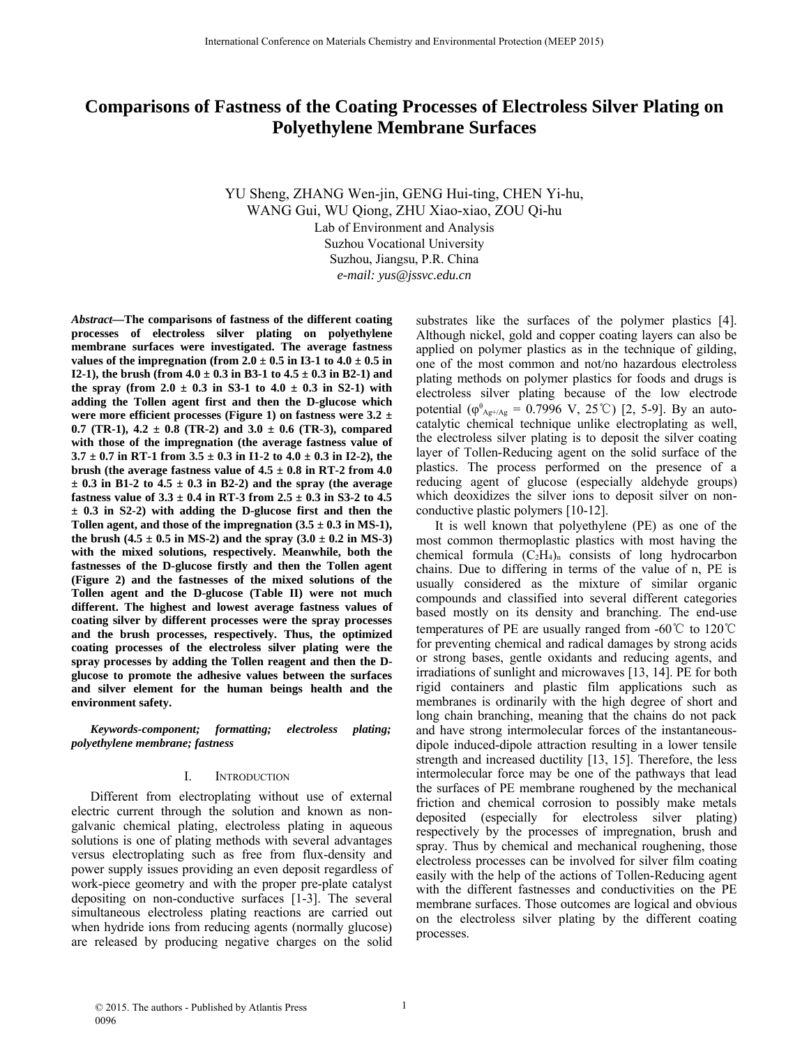# **Comparisons of Fastness of the Coating Processes of Electroless Silver Plating on Polyethylene Membrane Surfaces**

YU Sheng, ZHANG Wen-jin, GENG Hui-ting, CHEN Yi-hu, WANG Gui, WU Qiong, ZHU Xiao-xiao, ZOU Qi-hu Lab of Environment and Analysis Suzhou Vocational University Suzhou, Jiangsu, P.R. China *e-mail: yus@jssvc.edu.cn*

*Abstract***—The comparisons of fastness of the different coating processes of electroless silver plating on polyethylene membrane surfaces were investigated. The average fastness** values of the impregnation (from  $2.0 \pm 0.5$  in I3-1 to  $4.0 \pm 0.5$  in **I2-1), the brush (from**  $4.0 \pm 0.3$  **in B3-1 to**  $4.5 \pm 0.3$  **in B2-1) and** the spray (from  $2.0 \pm 0.3$  in S3-1 to  $4.0 \pm 0.3$  in S2-1) with **adding the Tollen agent first and then the D-glucose which were more efficient processes (Figure 1) on fastness were 3.2 ±** 0.7 (TR-1),  $4.2 \pm 0.8$  (TR-2) and  $3.0 \pm 0.6$  (TR-3), compared **with those of the impregnation (the average fastness value of**  $3.7 \pm 0.7$  in RT-1 from  $3.5 \pm 0.3$  in I1-2 to  $4.0 \pm 0.3$  in I2-2), the **brush (the average fastness value of**  $4.5 \pm 0.8$  **in RT-2 from 4.0**  $\pm$  0.3 in B1-2 to 4.5  $\pm$  0.3 in B2-2) and the spray (the average **fastness value of 3.3 ± 0.4 in RT-3 from 2.5 ± 0.3 in S3-2 to 4.5 ± 0.3 in S2-2) with adding the D-glucose first and then the** Tollen agent, and those of the impregnation  $(3.5 \pm 0.3 \text{ in MS-1})$ , the brush  $(4.5 \pm 0.5 \text{ in MS-2})$  and the spray  $(3.0 \pm 0.2 \text{ in MS-3})$ **with the mixed solutions, respectively. Meanwhile, both the fastnesses of the D-glucose firstly and then the Tollen agent (Figure 2) and the fastnesses of the mixed solutions of the Tollen agent and the D-glucose (Table II) were not much different. The highest and lowest average fastness values of coating silver by different processes were the spray processes and the brush processes, respectively. Thus, the optimized coating processes of the electroless silver plating were the spray processes by adding the Tollen reagent and then the Dglucose to promote the adhesive values between the surfaces and silver element for the human beings health and the environment safety.**

*Keywords-component; formatting; electroless plating; polyethylene membrane; fastness*

### I. INTRODUCTION

Different from electroplating without use of external electric current through the solution and known as nongalvanic chemical plating, electroless plating in aqueous solutions is one of plating methods with several advantages versus electroplating such as free from flux-density and power supply issues providing an even deposit regardless of work-piece geometry and with the proper pre-plate catalyst depositing on non-conductive surfaces [1-3]. The several simultaneous electroless plating reactions are carried out when hydride ions from reducing agents (normally glucose) are released by producing negative charges on the solid

substrates like the surfaces of the polymer plastics [4]. Although nickel, gold and copper coating layers can also be applied on polymer plastics as in the technique of gilding, one of the most common and not/no hazardous electroless plating methods on polymer plastics for foods and drugs is electroless silver plating because of the low electrode potential ( $\varphi_{\text{Ag+/Ag}}^{\text{B}} = 0.7996 \text{ V}, 25^{\circ}\text{C}$ ) [2, 5-9]. By an autocatalytic chemical technique unlike electroplating as well, the electroless silver plating is to deposit the silver coating layer of Tollen-Reducing agent on the solid surface of the plastics. The process performed on the presence of a reducing agent of glucose (especially aldehyde groups) which deoxidizes the silver ions to deposit silver on nonconductive plastic polymers [10-12].

It is well known that polyethylene (PE) as one of the most common thermoplastic plastics with most having the chemical formula  $(C_2H_4)$ <sub>n</sub> consists of long hydrocarbon chains. Due to differing in terms of the value of n, PE is usually considered as the mixture of similar organic compounds and classified into several different categories based mostly on its density and branching. The end-use temperatures of PE are usually ranged from -60℃ to 120℃ for preventing chemical and radical damages by strong acids or strong bases, gentle oxidants and reducing agents, and irradiations of sunlight and microwaves [13, 14]. PE for both rigid containers and plastic film applications such as membranes is ordinarily with the high degree of short and long chain branching, meaning that the chains do not pack and have strong intermolecular forces of the instantaneousdipole induced-dipole attraction resulting in a lower tensile strength and increased ductility [13, 15]. Therefore, the less intermolecular force may be one of the pathways that lead the surfaces of PE membrane roughened by the mechanical friction and chemical corrosion to possibly make metals deposited (especially for electroless silver plating) respectively by the processes of impregnation, brush and spray. Thus by chemical and mechanical roughening, those electroless processes can be involved for silver film coating easily with the help of the actions of Tollen-Reducing agent with the different fastnesses and conductivities on the PE membrane surfaces. Those outcomes are logical and obvious on the electroless silver plating by the different coating processes.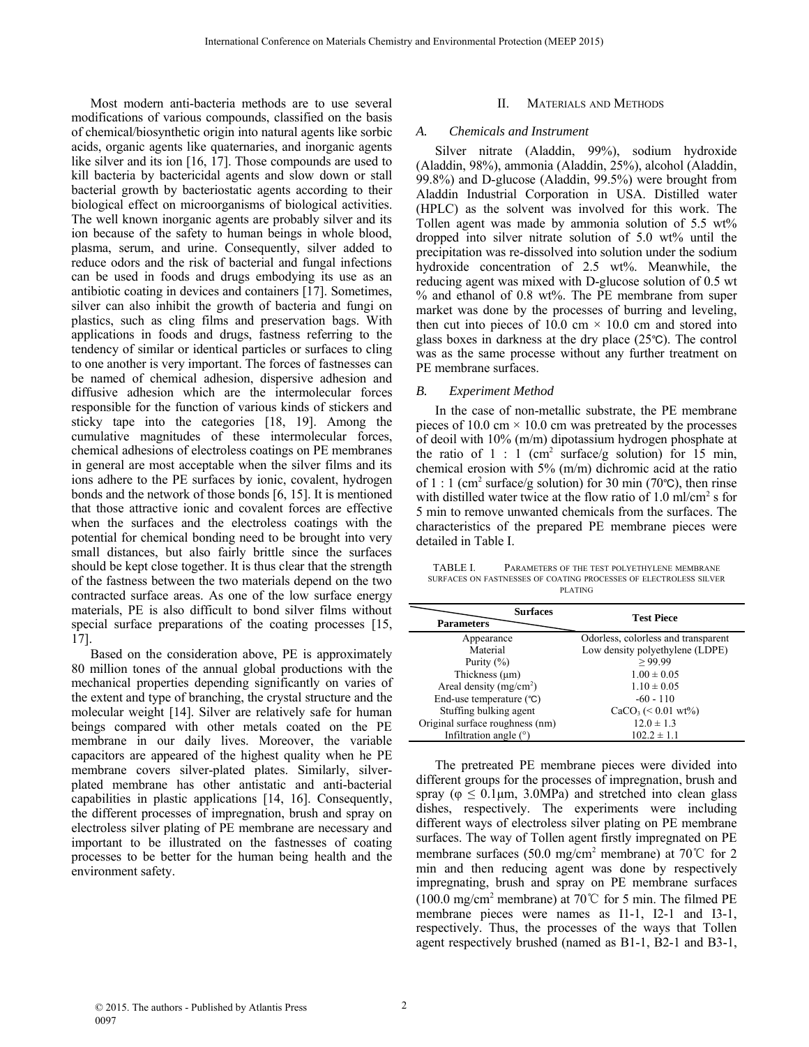Most modern anti-bacteria methods are to use several modifications of various compounds, classified on the basis of chemical/biosynthetic origin into natural agents like sorbic acids, organic agents like quaternaries, and inorganic agents like silver and its ion [16, 17]. Those compounds are used to kill bacteria by bactericidal agents and slow down or stall bacterial growth by bacteriostatic agents according to their biological effect on microorganisms of biological activities. The well known inorganic agents are probably silver and its ion because of the safety to human beings in whole blood, plasma, serum, and urine. Consequently, silver added to reduce odors and the risk of bacterial and fungal infections can be used in foods and drugs embodying its use as an antibiotic coating in devices and containers [17]. Sometimes, silver can also inhibit the growth of bacteria and fungi on plastics, such as cling films and preservation bags. With applications in foods and drugs, fastness referring to the tendency of similar or identical particles or surfaces to cling to one another is very important. The forces of fastnesses can be named of chemical adhesion, dispersive adhesion and diffusive adhesion which are the intermolecular forces responsible for the function of various kinds of stickers and sticky tape into the categories [18, 19]. Among the cumulative magnitudes of these intermolecular forces, chemical adhesions of electroless coatings on PE membranes in general are most acceptable when the silver films and its ions adhere to the PE surfaces by ionic, covalent, hydrogen bonds and the network of those bonds [6, 15]. It is mentioned that those attractive ionic and covalent forces are effective when the surfaces and the electroless coatings with the potential for chemical bonding need to be brought into very small distances, but also fairly brittle since the surfaces should be kept close together. It is thus clear that the strength of the fastness between the two materials depend on the two contracted surface areas. As one of the low surface energy materials, PE is also difficult to bond silver films without special surface preparations of the coating processes [15, 17].

Based on the consideration above, PE is approximately 80 million tones of the annual global productions with the mechanical properties depending significantly on varies of the extent and type of branching, the crystal structure and the molecular weight [14]. Silver are relatively safe for human beings compared with other metals coated on the PE membrane in our daily lives. Moreover, the variable capacitors are appeared of the highest quality when he PE membrane covers silver-plated plates. Similarly, silverplated membrane has other antistatic and anti-bacterial capabilities in plastic applications [14, 16]. Consequently, the different processes of impregnation, brush and spray on electroless silver plating of PE membrane are necessary and important to be illustrated on the fastnesses of coating processes to be better for the human being health and the environment safety.

#### II. MATERIALS AND METHODS

#### *A. Chemicals and Instrument*

Silver nitrate (Aladdin, 99%), sodium hydroxide (Aladdin, 98%), ammonia (Aladdin, 25%), alcohol (Aladdin, 99.8%) and D-glucose (Aladdin, 99.5%) were brought from Aladdin Industrial Corporation in USA. Distilled water (HPLC) as the solvent was involved for this work. The Tollen agent was made by ammonia solution of 5.5 wt% dropped into silver nitrate solution of 5.0 wt% until the precipitation was re-dissolved into solution under the sodium hydroxide concentration of 2.5 wt%. Meanwhile, the reducing agent was mixed with D-glucose solution of 0.5 wt % and ethanol of 0.8 wt%. The PE membrane from super market was done by the processes of burring and leveling, then cut into pieces of 10.0 cm  $\times$  10.0 cm and stored into glass boxes in darkness at the dry place  $(25^{\circ}C)$ . The control was as the same processe without any further treatment on PE membrane surfaces.

### *B. Experiment Method*

In the case of non-metallic substrate, the PE membrane pieces of 10.0 cm  $\times$  10.0 cm was pretreated by the processes of deoil with 10% (m/m) dipotassium hydrogen phosphate at the ratio of  $1:1$  (cm<sup>2</sup> surface/g solution) for 15 min, chemical erosion with 5% (m/m) dichromic acid at the ratio of 1 : 1 (cm<sup>2</sup> surface/g solution) for 30 min (70 $\degree$ C), then rinse with distilled water twice at the flow ratio of  $1.0 \text{ ml/cm}^2$  s for 5 min to remove unwanted chemicals from the surfaces. The characteristics of the prepared PE membrane pieces were detailed in Table I.

TABLE I. PARAMETERS OF THE TEST POLYETHYLENE MEMBRANE SURFACES ON FASTNESSES OF COATING PROCESSES OF ELECTROLESS SILVER PLATING

| <b>Surfaces</b><br><b>Parameters</b> | <b>Test Piece</b>                   |  |
|--------------------------------------|-------------------------------------|--|
| Appearance                           | Odorless, colorless and transparent |  |
| Material                             | Low density polyethylene (LDPE)     |  |
| Purity $(\% )$                       | >99.99                              |  |
| Thickness $(\mu m)$                  | $1.00 \pm 0.05$                     |  |
| Areal density ( $mg/cm2$ )           | $1.10 \pm 0.05$                     |  |
| End-use temperature (°C)             | $-60 - 110$                         |  |
| Stuffing bulking agent               | $CaCO3$ (< 0.01 wt%)                |  |
| Original surface roughness (nm)      | $12.0 \pm 1.3$                      |  |
| Infiltration angle $(°)$             | $102.2 \pm 1.1$                     |  |

The pretreated PE membrane pieces were divided into different groups for the processes of impregnation, brush and spray ( $\varphi \le 0.1 \mu m$ , 3.0MPa) and stretched into clean glass dishes, respectively. The experiments were including different ways of electroless silver plating on PE membrane surfaces. The way of Tollen agent firstly impregnated on PE membrane surfaces (50.0 mg/cm<sup>2</sup> membrane) at 70°C for 2 min and then reducing agent was done by respectively impregnating, brush and spray on PE membrane surfaces (100.0 mg/cm<sup>2</sup> membrane) at 70°C for 5 min. The filmed PE membrane pieces were names as I1-1, I2-1 and I3-1, respectively. Thus, the processes of the ways that Tollen agent respectively brushed (named as B1-1, B2-1 and B3-1,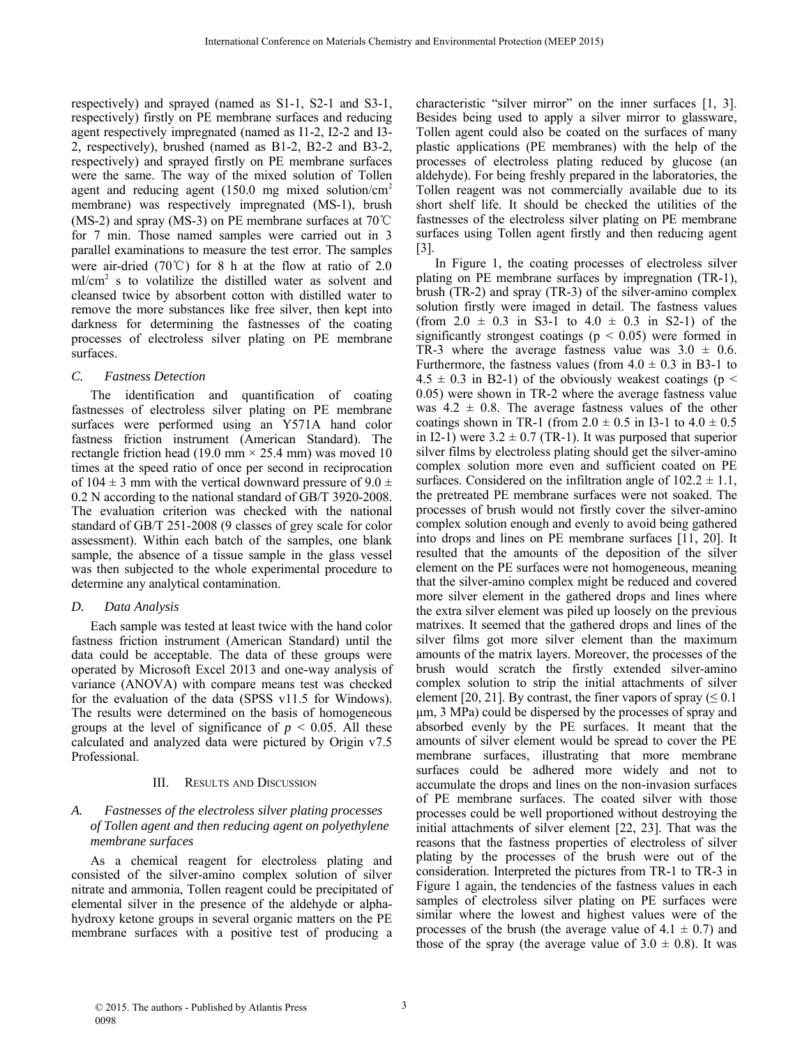respectively) and sprayed (named as S1-1, S2-1 and S3-1, respectively) firstly on PE membrane surfaces and reducing agent respectively impregnated (named as I1-2, I2-2 and I3- 2, respectively), brushed (named as B1-2, B2-2 and B3-2, respectively) and sprayed firstly on PE membrane surfaces were the same. The way of the mixed solution of Tollen agent and reducing agent (150.0 mg mixed solution/cm<sup>2</sup> membrane) was respectively impregnated (MS-1), brush (MS-2) and spray (MS-3) on PE membrane surfaces at 70℃ for 7 min. Those named samples were carried out in 3 parallel examinations to measure the test error. The samples were air-dried (70℃) for 8 h at the flow at ratio of 2.0 ml/cm2 s to volatilize the distilled water as solvent and cleansed twice by absorbent cotton with distilled water to remove the more substances like free silver, then kept into darkness for determining the fastnesses of the coating processes of electroless silver plating on PE membrane surfaces.

### *C. Fastness Detection*

The identification and quantification of coating fastnesses of electroless silver plating on PE membrane surfaces were performed using an Y571A hand color fastness friction instrument (American Standard). The rectangle friction head (19.0 mm  $\times$  25.4 mm) was moved 10 times at the speed ratio of once per second in reciprocation of  $104 \pm 3$  mm with the vertical downward pressure of  $9.0 \pm$ 0.2 N according to the national standard of GB/T 3920-2008. The evaluation criterion was checked with the national standard of GB/T 251-2008 (9 classes of grey scale for color assessment). Within each batch of the samples, one blank sample, the absence of a tissue sample in the glass vessel was then subjected to the whole experimental procedure to determine any analytical contamination.

## *D. Data Analysis*

Each sample was tested at least twice with the hand color fastness friction instrument (American Standard) until the data could be acceptable. The data of these groups were operated by Microsoft Excel 2013 and one-way analysis of variance (ANOVA) with compare means test was checked for the evaluation of the data (SPSS v11.5 for Windows). The results were determined on the basis of homogeneous groups at the level of significance of  $p < 0.05$ . All these calculated and analyzed data were pictured by Origin v7.5 Professional.

## III. RESULTS AND DISCUSSION

# *A. Fastnesses of the electroless silver plating processes of Tollen agent and then reducing agent on polyethylene membrane surfaces*

As a chemical reagent for electroless plating and consisted of the silver-amino complex solution of silver nitrate and ammonia, Tollen reagent could be precipitated of elemental silver in the presence of the aldehyde or alphahydroxy ketone groups in several organic matters on the PE membrane surfaces with a positive test of producing a

characteristic "silver mirror" on the inner surfaces [1, 3]. Besides being used to apply a silver mirror to glassware, Tollen agent could also be coated on the surfaces of many plastic applications (PE membranes) with the help of the processes of electroless plating reduced by glucose (an aldehyde). For being freshly prepared in the laboratories, the Tollen reagent was not commercially available due to its short shelf life. It should be checked the utilities of the fastnesses of the electroless silver plating on PE membrane surfaces using Tollen agent firstly and then reducing agent  $|3|$ .

In Figure 1, the coating processes of electroless silver plating on PE membrane surfaces by impregnation (TR-1), brush (TR-2) and spray (TR-3) of the silver-amino complex solution firstly were imaged in detail. The fastness values (from  $2.0 \pm 0.3$  in S3-1 to  $4.0 \pm 0.3$  in S2-1) of the significantly strongest coatings ( $p < 0.05$ ) were formed in TR-3 where the average fastness value was  $3.0 \pm 0.6$ . Furthermore, the fastness values (from  $4.0 \pm 0.3$  in B3-1 to  $4.5 \pm 0.3$  in B2-1) of the obviously weakest coatings (p < 0.05) were shown in TR-2 where the average fastness value was  $4.2 \pm 0.8$ . The average fastness values of the other coatings shown in TR-1 (from  $2.0 \pm 0.5$  in I3-1 to  $4.0 \pm 0.5$ ) in I2-1) were  $3.2 \pm 0.7$  (TR-1). It was purposed that superior silver films by electroless plating should get the silver-amino complex solution more even and sufficient coated on PE surfaces. Considered on the infiltration angle of  $102.2 \pm 1.1$ , the pretreated PE membrane surfaces were not soaked. The processes of brush would not firstly cover the silver-amino complex solution enough and evenly to avoid being gathered into drops and lines on PE membrane surfaces [11, 20]. It resulted that the amounts of the deposition of the silver element on the PE surfaces were not homogeneous, meaning that the silver-amino complex might be reduced and covered more silver element in the gathered drops and lines where the extra silver element was piled up loosely on the previous matrixes. It seemed that the gathered drops and lines of the silver films got more silver element than the maximum amounts of the matrix layers. Moreover, the processes of the brush would scratch the firstly extended silver-amino complex solution to strip the initial attachments of silver element [20, 21]. By contrast, the finer vapors of spray ( $\leq 0.1$ ) μm, 3 MPa) could be dispersed by the processes of spray and absorbed evenly by the PE surfaces. It meant that the amounts of silver element would be spread to cover the PE membrane surfaces, illustrating that more membrane surfaces could be adhered more widely and not to accumulate the drops and lines on the non-invasion surfaces of PE membrane surfaces. The coated silver with those processes could be well proportioned without destroying the initial attachments of silver element [22, 23]. That was the reasons that the fastness properties of electroless of silver plating by the processes of the brush were out of the consideration. Interpreted the pictures from TR-1 to TR-3 in Figure 1 again, the tendencies of the fastness values in each samples of electroless silver plating on PE surfaces were similar where the lowest and highest values were of the processes of the brush (the average value of  $4.1 \pm 0.7$ ) and those of the spray (the average value of  $3.0 \pm 0.8$ ). It was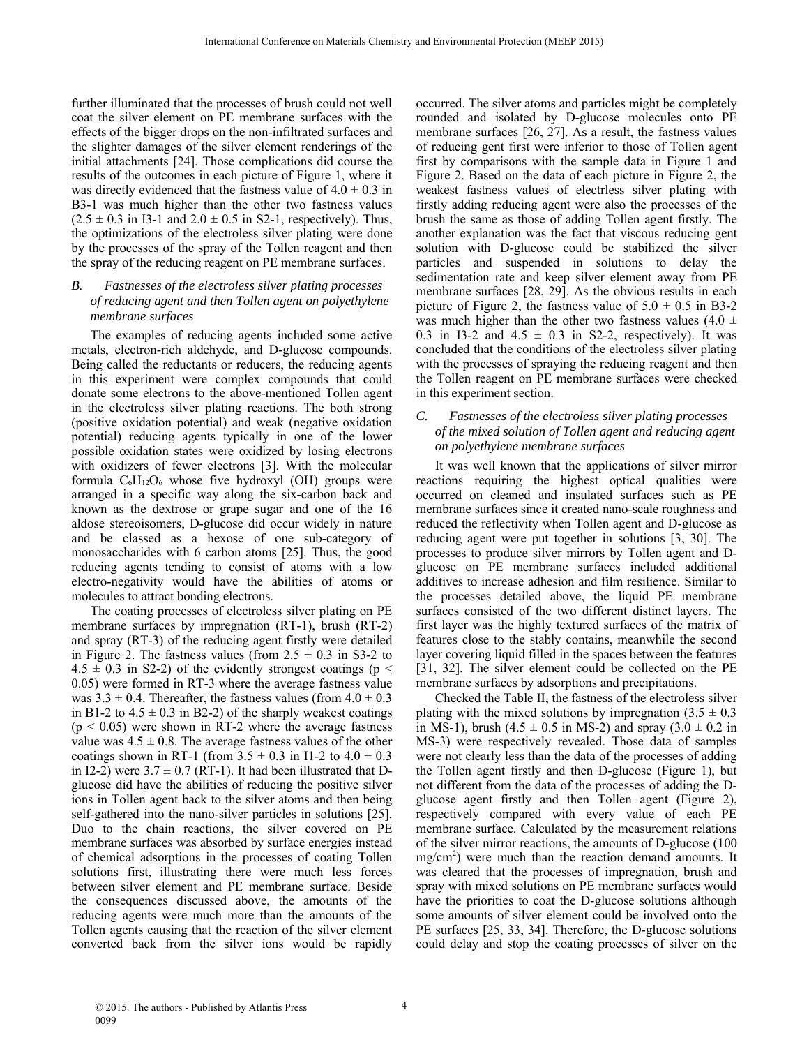further illuminated that the processes of brush could not well coat the silver element on PE membrane surfaces with the effects of the bigger drops on the non-infiltrated surfaces and the slighter damages of the silver element renderings of the initial attachments [24]. Those complications did course the results of the outcomes in each picture of Figure 1, where it was directly evidenced that the fastness value of  $4.0 \pm 0.3$  in B3-1 was much higher than the other two fastness values  $(2.5 \pm 0.3 \text{ in } 13\text{-}1 \text{ and } 2.0 \pm 0.5 \text{ in } S2\text{-}1$ , respectively). Thus, the optimizations of the electroless silver plating were done by the processes of the spray of the Tollen reagent and then the spray of the reducing reagent on PE membrane surfaces.

### *B. Fastnesses of the electroless silver plating processes of reducing agent and then Tollen agent on polyethylene membrane surfaces*

The examples of reducing agents included some active metals, electron-rich aldehyde, and D-glucose compounds. Being called the reductants or reducers, the reducing agents in this experiment were complex compounds that could donate some electrons to the above-mentioned Tollen agent in the electroless silver plating reactions. The both strong (positive oxidation potential) and weak (negative oxidation potential) reducing agents typically in one of the lower possible oxidation states were oxidized by losing electrons with oxidizers of fewer electrons [3]. With the molecular formula  $C_6H_{12}O_6$  whose five hydroxyl (OH) groups were arranged in a specific way along the six-carbon back and known as the dextrose or grape sugar and one of the 16 aldose stereoisomers, D-glucose did occur widely in nature and be classed as a hexose of one sub-category of monosaccharides with 6 carbon atoms [25]. Thus, the good reducing agents tending to consist of atoms with a low electro-negativity would have the abilities of atoms or molecules to attract bonding electrons.

The coating processes of electroless silver plating on PE membrane surfaces by impregnation (RT-1), brush (RT-2) and spray (RT-3) of the reducing agent firstly were detailed in Figure 2. The fastness values (from  $2.5 \pm 0.3$  in S3-2 to  $4.5 \pm 0.3$  in S2-2) of the evidently strongest coatings (p < 0.05) were formed in RT-3 where the average fastness value was  $3.3 \pm 0.4$ . Thereafter, the fastness values (from  $4.0 \pm 0.3$ ) in B1-2 to  $4.5 \pm 0.3$  in B2-2) of the sharply weakest coatings  $(p < 0.05)$  were shown in RT-2 where the average fastness value was  $4.5 \pm 0.8$ . The average fastness values of the other coatings shown in RT-1 (from  $3.5 \pm 0.3$  in I1-2 to  $4.0 \pm 0.3$ in I2-2) were  $3.7 \pm 0.7$  (RT-1). It had been illustrated that Dglucose did have the abilities of reducing the positive silver ions in Tollen agent back to the silver atoms and then being self-gathered into the nano-silver particles in solutions [25]. Duo to the chain reactions, the silver covered on PE membrane surfaces was absorbed by surface energies instead of chemical adsorptions in the processes of coating Tollen solutions first, illustrating there were much less forces between silver element and PE membrane surface. Beside the consequences discussed above, the amounts of the reducing agents were much more than the amounts of the Tollen agents causing that the reaction of the silver element converted back from the silver ions would be rapidly occurred. The silver atoms and particles might be completely rounded and isolated by D-glucose molecules onto PE membrane surfaces [26, 27]. As a result, the fastness values of reducing gent first were inferior to those of Tollen agent first by comparisons with the sample data in Figure 1 and Figure 2. Based on the data of each picture in Figure 2, the weakest fastness values of electrless silver plating with firstly adding reducing agent were also the processes of the brush the same as those of adding Tollen agent firstly. The another explanation was the fact that viscous reducing gent solution with D-glucose could be stabilized the silver particles and suspended in solutions to delay the sedimentation rate and keep silver element away from PE membrane surfaces [28, 29]. As the obvious results in each picture of Figure 2, the fastness value of  $5.0 \pm 0.5$  in B3-2 was much higher than the other two fastness values (4.0  $\pm$ 0.3 in I3-2 and  $4.5 \pm 0.3$  in S2-2, respectively). It was concluded that the conditions of the electroless silver plating with the processes of spraying the reducing reagent and then the Tollen reagent on PE membrane surfaces were checked in this experiment section.

## *C. Fastnesses of the electroless silver plating processes of the mixed solution of Tollen agent and reducing agent on polyethylene membrane surfaces*

It was well known that the applications of silver mirror reactions requiring the highest optical qualities were occurred on cleaned and insulated surfaces such as PE membrane surfaces since it created nano-scale roughness and reduced the reflectivity when Tollen agent and D-glucose as reducing agent were put together in solutions [3, 30]. The processes to produce silver mirrors by Tollen agent and Dglucose on PE membrane surfaces included additional additives to increase adhesion and film resilience. Similar to the processes detailed above, the liquid PE membrane surfaces consisted of the two different distinct layers. The first layer was the highly textured surfaces of the matrix of features close to the stably contains, meanwhile the second layer covering liquid filled in the spaces between the features [31, 32]. The silver element could be collected on the PE membrane surfaces by adsorptions and precipitations.

Checked the Table II, the fastness of the electroless silver plating with the mixed solutions by impregnation  $(3.5 \pm 0.3)$ in MS-1), brush  $(4.5 \pm 0.5 \text{ in MS-2})$  and spray  $(3.0 \pm 0.2 \text{ in}$ MS-3) were respectively revealed. Those data of samples were not clearly less than the data of the processes of adding the Tollen agent firstly and then D-glucose (Figure 1), but not different from the data of the processes of adding the Dglucose agent firstly and then Tollen agent (Figure 2), respectively compared with every value of each PE membrane surface. Calculated by the measurement relations of the silver mirror reactions, the amounts of D-glucose (100 mg/cm2 ) were much than the reaction demand amounts. It was cleared that the processes of impregnation, brush and spray with mixed solutions on PE membrane surfaces would have the priorities to coat the D-glucose solutions although some amounts of silver element could be involved onto the PE surfaces [25, 33, 34]. Therefore, the D-glucose solutions could delay and stop the coating processes of silver on the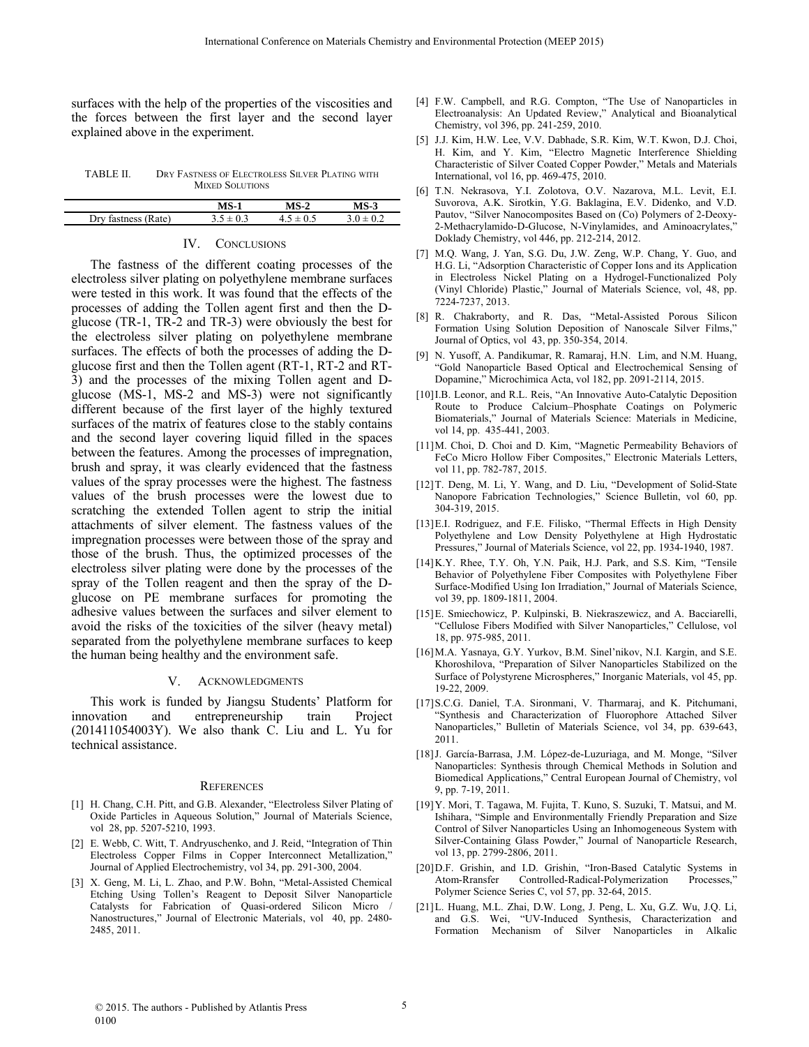surfaces with the help of the properties of the viscosities and the forces between the first layer and the second layer explained above in the experiment.

TABLE II. DRY FASTNESS OF ELECTROLESS SILVER PLATING WITH MIXED SOLUTIONS

|             | $MS-1$        | $MS-2$ | 5-3 |
|-------------|---------------|--------|-----|
| Dry<br>ate) | $3.5 \pm 0.3$ | 0.5    |     |
|             |               |        |     |

#### IV. CONCLUSIONS

The fastness of the different coating processes of the electroless silver plating on polyethylene membrane surfaces were tested in this work. It was found that the effects of the processes of adding the Tollen agent first and then the Dglucose (TR-1, TR-2 and TR-3) were obviously the best for the electroless silver plating on polyethylene membrane surfaces. The effects of both the processes of adding the Dglucose first and then the Tollen agent (RT-1, RT-2 and RT-3) and the processes of the mixing Tollen agent and Dglucose (MS-1, MS-2 and MS-3) were not significantly different because of the first layer of the highly textured surfaces of the matrix of features close to the stably contains and the second layer covering liquid filled in the spaces between the features. Among the processes of impregnation, brush and spray, it was clearly evidenced that the fastness values of the spray processes were the highest. The fastness values of the brush processes were the lowest due to scratching the extended Tollen agent to strip the initial attachments of silver element. The fastness values of the impregnation processes were between those of the spray and those of the brush. Thus, the optimized processes of the electroless silver plating were done by the processes of the spray of the Tollen reagent and then the spray of the Dglucose on PE membrane surfaces for promoting the adhesive values between the surfaces and silver element to avoid the risks of the toxicities of the silver (heavy metal) separated from the polyethylene membrane surfaces to keep the human being healthy and the environment safe.

#### V. ACKNOWLEDGMENTS

This work is funded by Jiangsu Students' Platform for innovation and entrepreneurship train Project (201411054003Y). We also thank C. Liu and L. Yu for technical assistance.

#### **REFERENCES**

- [1] H. Chang, C.H. Pitt, and G.B. Alexander, "Electroless Silver Plating of Oxide Particles in Aqueous Solution," Journal of Materials Science, vol 28, pp. 5207-5210, 1993.
- [2] E. Webb, C. Witt, T. Andryuschenko, and J. Reid, "Integration of Thin Electroless Copper Films in Copper Interconnect Metallization," Journal of Applied Electrochemistry, vol 34, pp. 291-300, 2004.
- [3] X. Geng, M. Li, L. Zhao, and P.W. Bohn, "Metal-Assisted Chemical Etching Using Tollen's Reagent to Deposit Silver Nanoparticle Catalysts for Fabrication of Quasi-ordered Silicon Micro Nanostructures," Journal of Electronic Materials, vol 40, pp. 2480- 2485, 2011.
- [4] F.W. Campbell, and R.G. Compton, "The Use of Nanoparticles in Electroanalysis: An Updated Review," Analytical and Bioanalytical Chemistry, vol 396, pp. 241-259, 2010.
- [5] J.J. Kim, H.W. Lee, V.V. Dabhade, S.R. Kim, W.T. Kwon, D.J. Choi, H. Kim, and Y. Kim, "Electro Magnetic Interference Shielding Characteristic of Silver Coated Copper Powder," Metals and Materials International, vol 16, pp. 469-475, 2010.
- [6] T.N. Nekrasova, Y.I. Zolotova, O.V. Nazarova, M.L. Levit, E.I. Suvorova, A.K. Sirotkin, Y.G. Baklagina, E.V. Didenko, and V.D. Pautov, "Silver Nanocomposites Based on (Co) Polymers of 2-Deoxy-2-Methacrylamido-D-Glucose, N-Vinylamides, and Aminoacrylates," Doklady Chemistry, vol 446, pp. 212-214, 2012.
- [7] M.Q. Wang, J. Yan, S.G. Du, J.W. Zeng, W.P. Chang, Y. Guo, and H.G. Li, "Adsorption Characteristic of Copper Ions and its Application in Electroless Nickel Plating on a Hydrogel-Functionalized Poly (Vinyl Chloride) Plastic," Journal of Materials Science, vol, 48, pp. 7224-7237, 2013.
- [8] R. Chakraborty, and R. Das, "Metal-Assisted Porous Silicon Formation Using Solution Deposition of Nanoscale Silver Films," Journal of Optics, vol 43, pp. 350-354, 2014.
- [9] N. Yusoff, A. Pandikumar, R. Ramaraj, H.N. Lim, and N.M. Huang, "Gold Nanoparticle Based Optical and Electrochemical Sensing of Dopamine," Microchimica Acta, vol 182, pp. 2091-2114, 2015.
- [10]I.B. Leonor, and R.L. Reis, "An Innovative Auto-Catalytic Deposition Route to Produce Calcium–Phosphate Coatings on Polymeric Biomaterials," Journal of Materials Science: Materials in Medicine, vol 14, pp. 435-441, 2003.
- [11]M. Choi, D. Choi and D. Kim, "Magnetic Permeability Behaviors of FeCo Micro Hollow Fiber Composites," Electronic Materials Letters, vol 11, pp. 782-787, 2015.
- [12] T. Deng, M. Li, Y. Wang, and D. Liu, "Development of Solid-State Nanopore Fabrication Technologies," Science Bulletin, vol 60, pp. 304-319, 2015.
- [13]E.I. Rodriguez, and F.E. Filisko, "Thermal Effects in High Density Polyethylene and Low Density Polyethylene at High Hydrostatic Pressures," Journal of Materials Science, vol 22, pp. 1934-1940, 1987.
- [14]K.Y. Rhee, T.Y. Oh, Y.N. Paik, H.J. Park, and S.S. Kim, "Tensile Behavior of Polyethylene Fiber Composites with Polyethylene Fiber Surface-Modified Using Ion Irradiation," Journal of Materials Science, vol 39, pp. 1809-1811, 2004.
- [15]E. Smiechowicz, P. Kulpinski, B. Niekraszewicz, and A. Bacciarelli, "Cellulose Fibers Modified with Silver Nanoparticles," Cellulose, vol 18, pp. 975-985, 2011.
- [16]M.A. Yasnaya, G.Y. Yurkov, B.M. Sinel'nikov, N.I. Kargin, and S.E. Khoroshilova, "Preparation of Silver Nanoparticles Stabilized on the Surface of Polystyrene Microspheres," Inorganic Materials, vol 45, pp. 19-22, 2009.
- [17]S.C.G. Daniel, T.A. Sironmani, V. Tharmaraj, and K. Pitchumani, "Synthesis and Characterization of Fluorophore Attached Silver Nanoparticles," Bulletin of Materials Science, vol 34, pp. 639-643, 2011.
- [18] J. García-Barrasa, J.M. López-de-Luzuriaga, and M. Monge, "Silver Nanoparticles: Synthesis through Chemical Methods in Solution and Biomedical Applications," Central European Journal of Chemistry, vol 9, pp. 7-19, 2011.
- [19]Y. Mori, T. Tagawa, M. Fujita, T. Kuno, S. Suzuki, T. Matsui, and M. Ishihara, "Simple and Environmentally Friendly Preparation and Size Control of Silver Nanoparticles Using an Inhomogeneous System with Silver-Containing Glass Powder," Journal of Nanoparticle Research, vol 13, pp. 2799-2806, 2011.
- [20]D.F. Grishin, and I.D. Grishin, "Iron-Based Catalytic Systems in Controlled-Radical-Polymerization Processes," Polymer Science Series C, vol 57, pp. 32-64, 2015.
- [21]L. Huang, M.L. Zhai, D.W. Long, J. Peng, L. Xu, G.Z. Wu, J.Q. Li, and G.S. Wei, "UV-Induced Synthesis, Characterization and Formation Mechanism of Silver Nanoparticles in Alkalic